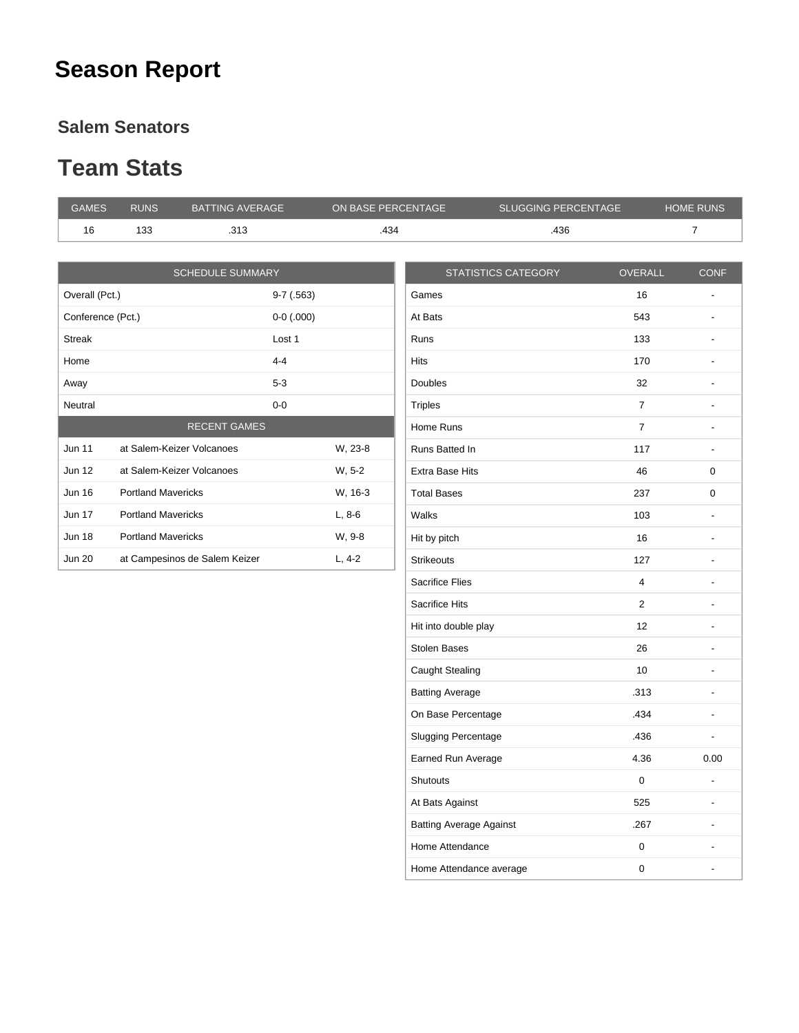#### **Season Report**

#### **Salem Senators**

#### **Team Stats**

| <b>GAMES</b>      | <b>RUNS</b>               | <b>BATTING AVERAGE</b>        | ON BASE PERCENTAGE |                        | <b>SLUGGING PERCENTAGE</b> |                | <b>HOME RUNS</b>         |
|-------------------|---------------------------|-------------------------------|--------------------|------------------------|----------------------------|----------------|--------------------------|
| 16                | 133                       | .313                          | .434               |                        | .436                       |                | $\overline{7}$           |
|                   |                           |                               |                    |                        |                            |                |                          |
|                   |                           | <b>SCHEDULE SUMMARY</b>       |                    |                        | <b>STATISTICS CATEGORY</b> | <b>OVERALL</b> | <b>CONF</b>              |
| Overall (Pct.)    |                           | $9-7(.563)$                   |                    | Games                  |                            | 16             | $\overline{\phantom{a}}$ |
| Conference (Pct.) |                           | $0-0$ (.000)                  |                    | At Bats                |                            | 543            |                          |
| <b>Streak</b>     |                           | Lost 1                        |                    | <b>Runs</b>            |                            | 133            | $\overline{\phantom{a}}$ |
| Home              |                           | $4 - 4$                       |                    | <b>Hits</b>            |                            | 170            | $\blacksquare$           |
| Away              |                           | $5 - 3$                       |                    | <b>Doubles</b>         |                            | 32             | $\overline{\phantom{a}}$ |
| Neutral           |                           | $0 - 0$                       |                    | <b>Triples</b>         |                            | $\overline{7}$ | $\overline{\phantom{a}}$ |
|                   |                           | <b>RECENT GAMES</b>           |                    | Home Runs              |                            | $\overline{7}$ | $\overline{\phantom{a}}$ |
| <b>Jun 11</b>     |                           | at Salem-Keizer Volcanoes     | W, 23-8            | Runs Batted In         |                            | 117            | $\overline{\phantom{a}}$ |
| <b>Jun 12</b>     |                           | at Salem-Keizer Volcanoes     | W. 5-2             | <b>Extra Base Hits</b> |                            | 46             | 0                        |
| <b>Jun 16</b>     | <b>Portland Mavericks</b> |                               | W, 16-3            | <b>Total Bases</b>     |                            | 237            | 0                        |
| <b>Jun 17</b>     | <b>Portland Mavericks</b> |                               | $L, 8-6$           | Walks                  |                            | 103            |                          |
| <b>Jun 18</b>     | <b>Portland Mavericks</b> |                               | W, 9-8             | Hit by pitch           |                            | 16             | $\overline{\phantom{a}}$ |
| <b>Jun 20</b>     |                           | at Campesinos de Salem Keizer | $L, 4-2$           | <b>Strikeouts</b>      |                            | 127            | $\overline{\phantom{a}}$ |
|                   |                           |                               |                    | <b>Sacrifice Flies</b> |                            | 4              | $\overline{\phantom{a}}$ |

Sacrifice Hits 2 and 2 and 2 and 2 and 2 and 2 and 2 and 2 and 2 and 2 and 2 and 2 and 2 and 2 and 2 and 2 and 2 and 2 and 2 and 2 and 2 and 2 and 2 and 2 and 2 and 2 and 2 and 2 and 2 and 2 and 2 and 2 and 2 and 2 and 2 a Hit into double play and the set of the set of the set of the set of the set of the set of the set of the set of the set of the set of the set of the set of the set of the set of the set of the set of the set of the set of Stolen Bases 26 - Caught Stealing 10 - Batting Average **.2018** - .313 On Base Percentage **.434** ... Slugging Percentage **.436** -Earned Run Average 1.36 and 1.36 0.00 Shutouts 0 -At Bats Against **625** Batting Average Against **.267** ... Home Attendance 0 and 0 contract 0 contract 0 contract 0 contract 0 contract 0 contract 0 contract 0 contract 0 contract 0 contract 0 contract 0 contract 0 contract 0 contract 0 contract 0 contract 0 contract 0 contract 0 Home Attendance average and the control of the control of the control of the control of the control of the control of the control of the control of the control of the control of the control of the control of the control of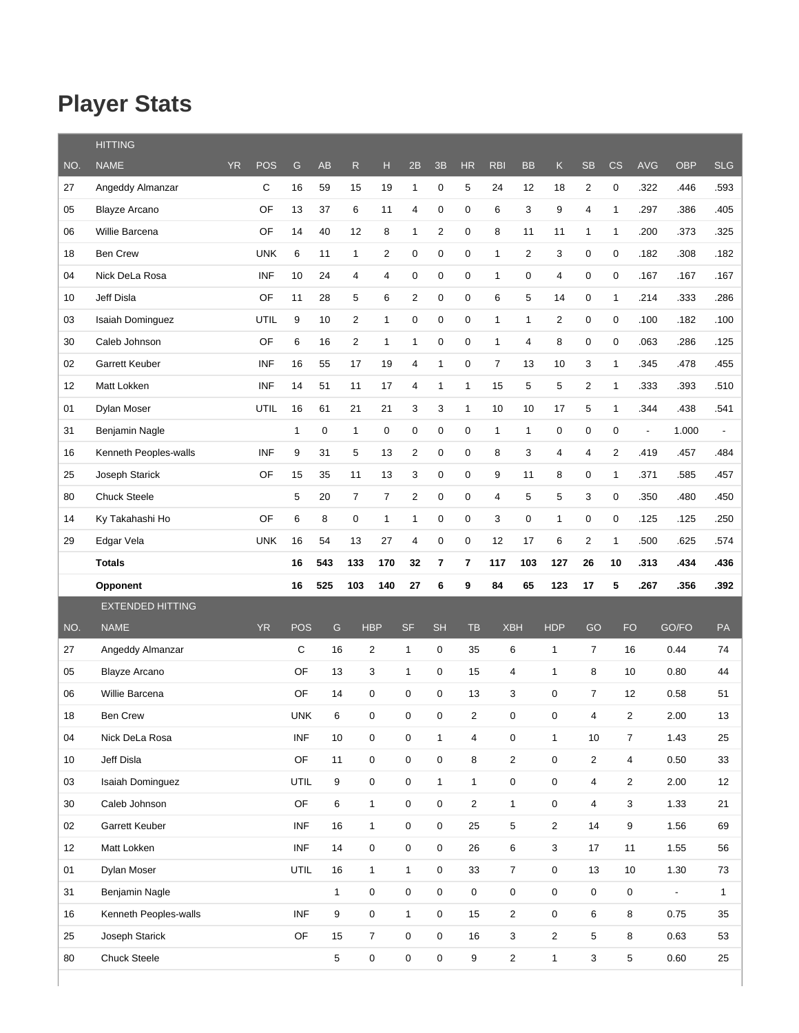## **Player Stats**

|     | <b>HITTING</b>          |           |            |               |                  |                |                  |                |                |                         |                |                         |                         |                |                |                         |            |                          |
|-----|-------------------------|-----------|------------|---------------|------------------|----------------|------------------|----------------|----------------|-------------------------|----------------|-------------------------|-------------------------|----------------|----------------|-------------------------|------------|--------------------------|
| NO. | <b>NAME</b>             | <b>YR</b> | <b>POS</b> | ${\mathsf G}$ | <b>AB</b>        | ${\sf R}$      | н                | 2B             | 3B             | <b>HR</b>               | <b>RBI</b>     | <b>BB</b>               | K                       | <b>SB</b>      | CS             | <b>AVG</b>              | <b>OBP</b> | <b>SLG</b>               |
| 27  | Angeddy Almanzar        |           | С          | 16            | 59               | 15             | 19               | $\mathbf{1}$   | 0              | 5                       | 24             | 12                      | 18                      | $\overline{2}$ | 0              | .322                    | .446       | .593                     |
| 05  | <b>Blayze Arcano</b>    |           | OF         | 13            | 37               | 6              | 11               | 4              | 0              | 0                       | 6              | 3                       | 9                       | 4              | $\mathbf{1}$   | .297                    | .386       | .405                     |
| 06  | Willie Barcena          |           | OF         | 14            | 40               | 12             | 8                | $\mathbf{1}$   | $\overline{c}$ | 0                       | 8              | 11                      | 11                      | $\mathbf{1}$   | $\mathbf{1}$   | .200                    | .373       | .325                     |
| 18  | <b>Ben Crew</b>         |           | <b>UNK</b> | 6             | 11               | $\mathbf{1}$   | 2                | 0              | $\pmb{0}$      | 0                       | 1              | $\overline{2}$          | 3                       | 0              | $\pmb{0}$      | .182                    | .308       | .182                     |
| 04  | Nick DeLa Rosa          |           | <b>INF</b> | 10            | 24               | 4              | 4                | 0              | $\mathbf 0$    | 0                       | 1              | $\pmb{0}$               | $\overline{4}$          | 0              | $\mathbf 0$    | .167                    | .167       | .167                     |
| 10  | Jeff Disla              |           | OF         | 11            | 28               | 5              | 6                | $\overline{2}$ | $\pmb{0}$      | $\boldsymbol{0}$        | 6              | 5                       | 14                      | 0              | 1              | .214                    | .333       | .286                     |
| 03  | <b>Isaiah Dominguez</b> |           | UTIL       | 9             | 10               | $\overline{2}$ | $\mathbf{1}$     | 0              | $\pmb{0}$      | 0                       | $\mathbf{1}$   | $\mathbf{1}$            | $\overline{c}$          | 0              | $\mathbf 0$    | .100                    | .182       | .100                     |
| 30  | Caleb Johnson           |           | OF         | 6             | 16               | $\overline{2}$ | $\mathbf{1}$     | $\mathbf{1}$   | 0              | 0                       | $\mathbf{1}$   | $\overline{4}$          | 8                       | 0              | $\pmb{0}$      | .063                    | .286       | .125                     |
| 02  | Garrett Keuber          |           | <b>INF</b> | 16            | 55               | 17             | 19               | 4              | $\mathbf{1}$   | 0                       | $\overline{7}$ | 13                      | 10                      | 3              | $\mathbf{1}$   | .345                    | .478       | .455                     |
| 12  | Matt Lokken             |           | <b>INF</b> | 14            | 51               | 11             | 17               | 4              | $\mathbf{1}$   | $\mathbf{1}$            | 15             | 5                       | 5                       | 2              | $\mathbf{1}$   | .333                    | .393       | .510                     |
| 01  | Dylan Moser             |           | UTIL       | 16            | 61               | 21             | 21               | 3              | 3              | $\mathbf{1}$            | 10             | 10                      | 17                      | 5              | $\mathbf{1}$   | .344                    | .438       | .541                     |
| 31  | Benjamin Nagle          |           |            | $\mathbf{1}$  | 0                | $\mathbf{1}$   | 0                | 0              | $\mathbf 0$    | 0                       | $\mathbf{1}$   | $\mathbf{1}$            | $\mathbf 0$             | 0              | $\mathbf 0$    | $\blacksquare$          | 1.000      | $\overline{\phantom{a}}$ |
| 16  | Kenneth Peoples-walls   |           | <b>INF</b> | 9             | 31               | 5              | 13               | 2              | 0              | 0                       | 8              | 3                       | $\overline{\mathbf{4}}$ | 4              | $\sqrt{2}$     | .419                    | .457       | .484                     |
| 25  | Joseph Starick          |           | OF         | 15            | 35               | 11             | 13               | 3              | $\pmb{0}$      | 0                       | 9              | 11                      | 8                       | 0              | $\mathbf{1}$   | .371                    | .585       | .457                     |
| 80  | <b>Chuck Steele</b>     |           |            | 5             | 20               | $\overline{7}$ | $\overline{7}$   | $\overline{c}$ | $\mathbf 0$    | 0                       | 4              | 5                       | 5                       | 3              | $\pmb{0}$      | .350                    | .480       | .450                     |
| 14  | Ky Takahashi Ho         |           | OF         | 6             | 8                | $\pmb{0}$      | $\mathbf{1}$     | $\mathbf{1}$   | $\mathbf 0$    | 0                       | 3              | 0                       | $\mathbf{1}$            | 0              | $\mathbf 0$    | .125                    | .125       | .250                     |
| 29  | Edgar Vela              |           | <b>UNK</b> | 16            | 54               | 13             | 27               | 4              | $\pmb{0}$      | 0                       | 12             | 17                      | 6                       | 2              | 1              | .500                    | .625       | .574                     |
|     | <b>Totals</b>           |           |            | 16            | 543              | 133            | 170              | 32             | 7              | 7                       | 117            | 103                     | 127                     | 26             | 10             | .313                    | .434       | .436                     |
|     |                         |           |            |               |                  |                |                  |                |                |                         |                |                         |                         |                |                |                         |            |                          |
|     | Opponent                |           |            | 16            | 525              | 103            | 140              | 27             | 6              | 9                       | 84             | 65                      | 123                     | 17             | 5              | .267                    | .356       | .392                     |
|     | <b>EXTENDED HITTING</b> |           |            |               |                  |                |                  |                |                |                         |                |                         |                         |                |                |                         |            |                          |
| NO. | <b>NAME</b>             |           | <b>YR</b>  | <b>POS</b>    | ${\mathsf G}$    |                | <b>HBP</b>       | <b>SF</b>      | <b>SH</b>      | <b>TB</b>               | <b>XBH</b>     |                         | <b>HDP</b>              | GO             | <b>FO</b>      |                         | GO/FO      | PA                       |
| 27  | Angeddy Almanzar        |           |            | C             | 16               |                | 2                | $\mathbf{1}$   | 0              | 35                      |                | 6                       | $\mathbf{1}$            | $\overline{7}$ | 16             |                         | 0.44       | 74                       |
| 05  | <b>Blayze Arcano</b>    |           |            | OF            | 13               |                | 3                | $\mathbf{1}$   | 0              | 15                      |                | 4                       | $\mathbf{1}$            | 8              | 10             |                         | 0.80       | 44                       |
| 06  | Willie Barcena          |           |            | OF            | 14               |                | 0                | 0              | 0              | 13                      |                | 3                       | 0                       | 7              | 12             |                         | 0.58       | 51                       |
| 18  | <b>Ben Crew</b>         |           |            | <b>UNK</b>    | 6                |                | $\mathbf 0$      | $\mathbf 0$    | 0              | 2                       |                | 0                       | 0                       | 4              | 2              |                         | 2.00       | 13                       |
| 04  | Nick DeLa Rosa          |           |            | <b>INF</b>    | 10               |                | $\pmb{0}$        | 0              | $\mathbf{1}$   | $\overline{\mathbf{4}}$ |                | $\pmb{0}$               | $\mathbf{1}$            | 10             | $\overline{7}$ |                         | 1.43       | 25                       |
| 10  | Jeff Disla              |           |            | OF            | 11               |                | $\pmb{0}$        | $\mathbf 0$    | $\mathsf 0$    | 8                       |                | $\mathbf 2$             | $\mathsf 0$             | $\overline{2}$ |                | 4                       | 0.50       | 33                       |
| 03  | Isaiah Dominguez        |           |            | UTIL          | $\boldsymbol{9}$ |                | $\pmb{0}$        | $\pmb{0}$      | $\mathbf{1}$   | $\mathbf{1}$            |                | $\pmb{0}$               | $\mathsf 0$             | 4              |                | $\overline{\mathbf{c}}$ | 2.00       | 12                       |
| 30  | Caleb Johnson           |           |            | OF            | $\,6\,$          |                | $\mathbf{1}$     | $\mathbf 0$    | $\mathsf 0$    | $\sqrt{2}$              |                | $\mathbf{1}$            | $\pmb{0}$               | 4              |                | 3                       | 1.33       | 21                       |
| 02  | Garrett Keuber          |           |            | <b>INF</b>    | 16               |                | $\mathbf{1}$     | $\pmb{0}$      | $\mathsf 0$    | 25                      |                | $\,$ 5 $\,$             | $\overline{c}$          | 14             | 9              |                         | 1.56       | 69                       |
| 12  | Matt Lokken             |           |            | <b>INF</b>    | 14               |                | $\pmb{0}$        | 0              | $\mathsf 0$    | 26                      |                | 6                       | $\mathsf 3$             | 17             | 11             |                         | 1.55       | 56                       |
| 01  | Dylan Moser             |           |            | UTIL          | 16               |                | $\mathbf{1}$     | $\mathbf{1}$   | 0              | 33                      |                | $\overline{7}$          | $\pmb{0}$               | 13             | $10$           |                         | 1.30       | 73                       |
| 31  | Benjamin Nagle          |           |            |               | $\mathbf{1}$     |                | $\pmb{0}$        | 0              | $\mathbf 0$    | $\mathbf 0$             |                | $\pmb{0}$               | 0                       | $\pmb{0}$      | $\mathsf 0$    |                         | $\Box$     | $\mathbf{1}$             |
| 16  | Kenneth Peoples-walls   |           |            | <b>INF</b>    | $\boldsymbol{9}$ |                | $\pmb{0}$        | $\mathbf{1}$   | $\mathbf 0$    | 15                      |                | $\overline{\mathbf{c}}$ | $\pmb{0}$               | 6              | $\bf 8$        |                         | 0.75       | 35                       |
| 25  | Joseph Starick          |           |            | OF            | 15               |                | $\boldsymbol{7}$ | $\pmb{0}$      | $\mathsf 0$    | 16                      |                | 3                       | $\overline{c}$          | 5              |                | 8                       | 0.63       | 53                       |
| 80  | <b>Chuck Steele</b>     |           |            |               | $\sqrt{5}$       |                | $\pmb{0}$        | $\pmb{0}$      | $\mathsf 0$    | $\boldsymbol{9}$        |                | $\boldsymbol{2}$        | $\mathbf{1}$            | 3              | $\sqrt{5}$     |                         | 0.60       | 25                       |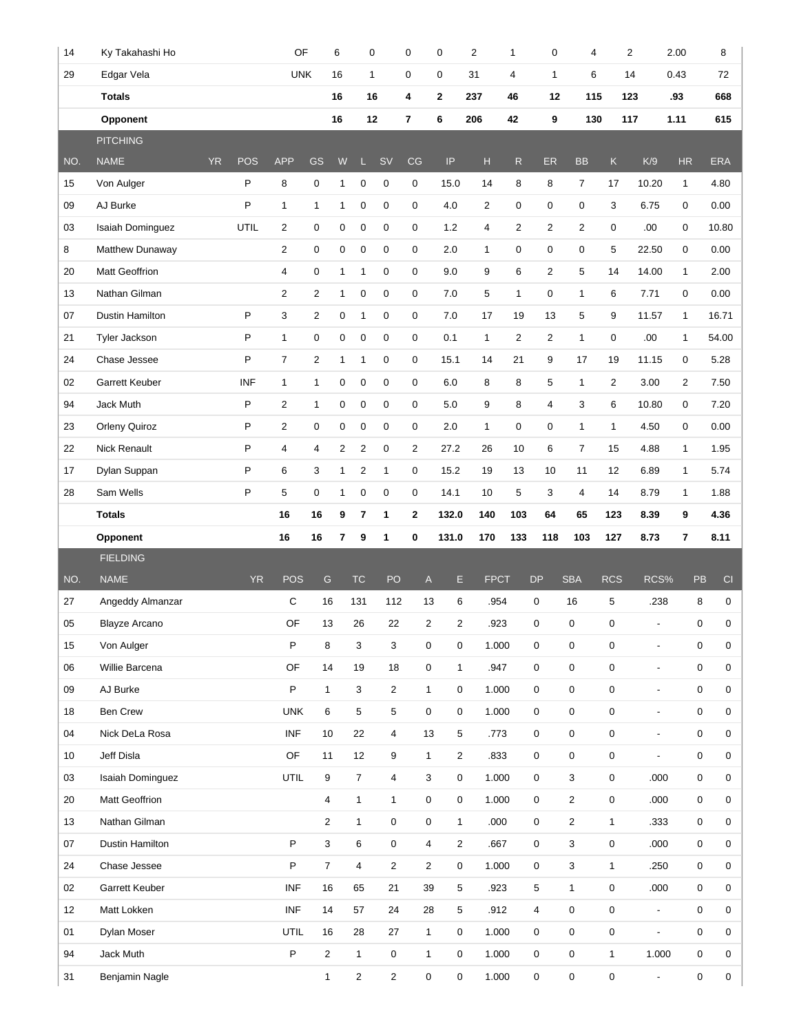| 14       | Ky Takahashi Ho             |           |              | OF             |                                         | 6              |                                | $\mathbf 0$                           | 0                           | $\mathbf 0$    | $\overline{2}$ | $\mathbf{1}$   | 0              | 4                |                   | $\overline{2}$                    | 2.00         | 8                          |
|----------|-----------------------------|-----------|--------------|----------------|-----------------------------------------|----------------|--------------------------------|---------------------------------------|-----------------------------|----------------|----------------|----------------|----------------|------------------|-------------------|-----------------------------------|--------------|----------------------------|
| 29       | Edgar Vela                  |           |              | <b>UNK</b>     |                                         | 16             |                                | $\mathbf{1}$                          | $\mathbf 0$                 | $\mathbf 0$    | 31             | 4              | $\mathbf{1}$   | 6                |                   | 14                                | 0.43         | 72                         |
|          | <b>Totals</b>               |           |              |                |                                         | 16             |                                | 16                                    | 4                           | $\mathbf{2}$   | 237            | 46             | 12             | 115              |                   | 123                               | .93          | 668                        |
|          | Opponent                    |           |              |                |                                         | 16             |                                | 12                                    | 7                           | 6              | 206            | 42             | 9              | 130              |                   | 117                               | 1.11         | 615                        |
|          | <b>PITCHING</b>             |           |              |                |                                         |                |                                |                                       |                             |                |                |                |                |                  |                   |                                   |              |                            |
| NO.      | <b>NAME</b>                 | <b>YR</b> | <b>POS</b>   | <b>APP</b>     | GS                                      | W              | Ц                              | <b>SV</b>                             | CG                          | IP             | Н              | R              | <b>ER</b>      | <b>BB</b>        | $\mathsf K$       | K/9                               | <b>HR</b>    | <b>ERA</b>                 |
| 15       | Von Aulger                  |           | P            | 8              | $\mathbf 0$                             | 1              | $\mathbf 0$                    | $\mathbf 0$                           | 0                           | 15.0           | 14             | 8              | 8              | $\overline{7}$   | 17                | 10.20                             | $\mathbf{1}$ | 4.80                       |
| 09       | AJ Burke                    |           | P            | $\mathbf 1$    | $\mathbf{1}$                            | $\mathbf{1}$   | $\mathbf 0$                    | 0                                     | 0                           | 4.0            | $\overline{2}$ | 0              | $\pmb{0}$      | 0                | 3                 | 6.75                              | 0            | 0.00                       |
| 03       | Isaiah Dominguez            |           | UTIL         | $\overline{2}$ | 0                                       | 0              | $\pmb{0}$                      | 0                                     | 0                           | $1.2$          | 4              | $\overline{2}$ | $\overline{2}$ | 2                | 0                 | .00.                              | 0            | 10.80                      |
| 8        | Matthew Dunaway             |           |              | $\overline{c}$ | $\mathbf 0$                             | 0              | $\mathbf 0$                    | $\mathbf 0$                           | 0                           | 2.0            | $\mathbf{1}$   | 0              | $\pmb{0}$      | 0                | 5                 | 22.50                             | 0            | 0.00                       |
| 20       | <b>Matt Geoffrion</b>       |           |              | 4              | 0                                       | $\mathbf{1}$   | 1                              | 0                                     | 0                           | 9.0            | 9              | 6              | $\overline{2}$ | 5                | 14                | 14.00                             | $\mathbf{1}$ | 2.00                       |
| 13       | Nathan Gilman               |           |              | $\overline{2}$ | $\overline{2}$                          | $\mathbf{1}$   | 0                              | $\mathbf 0$                           | 0                           | 7.0            | 5              | $\mathbf{1}$   | $\pmb{0}$      | $\mathbf{1}$     | 6                 | 7.71                              | 0            | 0.00                       |
| 07       | Dustin Hamilton             |           | $\sf P$      | 3              | $\overline{2}$                          | 0              | 1                              | $\mathbf 0$                           | 0                           | 7.0            | 17             | 19             | 13             | 5                | 9                 | 11.57                             | $\mathbf{1}$ | 16.71                      |
| 21       | Tyler Jackson               |           | $\sf P$      | $\mathbf{1}$   | $\pmb{0}$                               | $\pmb{0}$      | $\pmb{0}$                      | 0                                     | 0                           | 0.1            | $\mathbf{1}$   | $\overline{2}$ | $\overline{2}$ | 1                | 0                 | .00.                              | $\mathbf{1}$ | 54.00                      |
| 24       | Chase Jessee                |           | P            | $\overline{7}$ | $\overline{c}$                          | $\mathbf{1}$   | 1                              | $\pmb{0}$                             | 0                           | 15.1           | 14             | 21             | 9              | 17               | 19                | 11.15                             | 0            | 5.28                       |
| 02       | Garrett Keuber              |           | <b>INF</b>   | $\mathbf{1}$   | 1                                       | 0              | 0                              | 0                                     | 0                           | 6.0            | 8              | 8              | 5              | $\mathbf{1}$     | $\overline{2}$    | 3.00                              | 2            | 7.50                       |
| 94       | Jack Muth                   |           | $\mathsf{P}$ | $\overline{2}$ | 1                                       | 0              | 0                              | 0                                     | 0                           | 5.0            | 9              | 8              | $\overline{4}$ | 3                | 6                 | 10.80                             | 0            | 7.20                       |
| 23       | Orleny Quiroz               |           | P            | $\overline{2}$ | $\mathbf 0$                             | $\mathbf 0$    | $\mathbf 0$                    | $\mathbf 0$                           | 0                           | 2.0            | $\mathbf{1}$   | 0              | $\mathbf 0$    | $\mathbf{1}$     | $\mathbf{1}$      | 4.50                              | 0            | 0.00                       |
| 22       | <b>Nick Renault</b>         |           | $\sf P$      | $\overline{4}$ | 4                                       | $\overline{c}$ | 2                              | $\mathbf 0$                           | $\overline{2}$              | 27.2           | 26             | 10             | 6              | $\overline{7}$   | 15                | 4.88                              | $\mathbf{1}$ | 1.95                       |
| 17       | Dylan Suppan                |           | $\sf P$      | 6              | 3                                       | $\mathbf{1}$   | $\sqrt{2}$                     | 1                                     | 0                           | 15.2           | 19             | 13             | 10             | 11               | 12                | 6.89                              | $\mathbf{1}$ | 5.74                       |
| 28       | Sam Wells                   |           | P            | 5              | $\mathbf 0$                             | 1              | $\mathbf 0$                    | 0                                     | 0                           | 14.1           | 10             | 5              | 3              | 4                | 14                | 8.79                              | 1            | 1.88                       |
|          | <b>Totals</b>               |           |              | 16             | 16                                      | 9              | 7                              | 1                                     | 2                           | 132.0          | 140            | 103            | 64             | 65               | 123               | 8.39                              | 9            | 4.36                       |
|          |                             |           |              |                |                                         |                |                                |                                       |                             |                |                |                |                |                  |                   |                                   |              |                            |
|          | Opponent                    |           |              | 16             | 16                                      | 7              | 9                              | $\mathbf{1}$                          | 0                           | 131.0          | 170            | 133            | 118            | 103              | 127               | 8.73                              | 7            | 8.11                       |
|          | <b>FIELDING</b>             |           |              |                |                                         |                |                                |                                       |                             |                |                |                |                |                  |                   |                                   |              |                            |
| NO.      | <b>NAME</b>                 |           | <b>YR</b>    | <b>POS</b>     | ${\mathsf G}$                           |                | <b>TC</b>                      | PO                                    | $\mathsf A$                 | Е              | <b>FPCT</b>    |                | <b>DP</b>      | <b>SBA</b>       | <b>RCS</b>        | RCS%                              |              | PB<br>CI                   |
| 27       | Angeddy Almanzar            |           |              | C              | 16                                      |                | 131                            | 112                                   | 13                          | 6              | .954           |                | 0              | 16               | 5                 | .238                              |              | 8<br>0                     |
| 05       | <b>Blayze Arcano</b>        |           |              | OF             | 13                                      |                | 26                             | 22                                    | $\overline{2}$              | $\overline{2}$ | .923           |                | 0              | 0                | 0                 | $\overline{\phantom{a}}$          |              | 0<br>$\mathbf 0$           |
| 15       | Von Aulger                  |           |              | P              | 8                                       |                | 3                              | 3                                     | $\mathbf 0$                 | $\mathbf 0$    | 1.000          |                | 0              | 0                | 0                 | $\blacksquare$                    |              | 0<br>$\mathbf 0$           |
| 06       | Willie Barcena              |           |              | OF             | 14                                      |                | 19                             | 18                                    | $\mathsf 0$                 | $\mathbf{1}$   | .947           |                | $\mathbf 0$    | $\mathsf 0$      | 0                 | $\overline{\phantom{a}}$          |              | $\mathsf 0$<br>0           |
| 09       | AJ Burke                    |           |              | P              | $\mathbf{1}$                            |                | 3                              | 2                                     | $\mathbf{1}$                | 0              | 1.000          |                | 0              | 0                | $\mathbf 0$       | $\overline{\phantom{a}}$          |              | $\mathsf 0$<br>$\mathbf 0$ |
| 18       | <b>Ben Crew</b>             |           |              | <b>UNK</b>     | 6                                       |                | 5                              | 5                                     | $\mathbf 0$                 | 0              | 1.000          |                | 0              | $\mathbf 0$      | 0                 | $\overline{\phantom{a}}$          |              | $\pmb{0}$<br>0             |
| 04       | Nick DeLa Rosa              |           |              | <b>INF</b>     | 10                                      |                | 22                             | 4                                     | 13                          | 5              | .773           |                | $\mathbf 0$    | $\mathsf 0$      | 0                 | $\overline{\phantom{a}}$          |              | 0<br>0                     |
| 10       | Jeff Disla                  |           |              | OF             | 11                                      |                | 12                             | 9                                     | $\mathbf{1}$                | $\overline{2}$ | .833           |                | 0              | 0                | $\mathbf 0$       | $\blacksquare$                    |              | $\mathsf 0$<br>$\mathbf 0$ |
| 03       | <b>Isaiah Dominguez</b>     |           |              | UTIL           | 9                                       |                | $\overline{7}$                 | 4                                     | 3                           | 0              | 1.000          |                | $\mathbf 0$    | 3                | $\mathbf 0$       | .000                              |              | $\mathsf 0$<br>0           |
| 20       | Matt Geoffrion              |           |              |                | 4                                       |                | $\mathbf{1}$                   | $\mathbf{1}$                          | $\mathsf 0$                 | 0              | 1.000          |                | $\mathbf 0$    | $\overline{2}$   | 0                 | .000                              |              | 0<br>0                     |
| 13       | Nathan Gilman               |           |              |                | $\overline{2}$                          |                | $\mathbf{1}$                   | $\mathsf 0$                           | $\pmb{0}$                   | $\mathbf{1}$   | .000           |                | 0              | $\overline{2}$   | 1                 | .333                              |              | $\mathsf 0$<br>0           |
| 07       | Dustin Hamilton             |           |              | P              | 3                                       |                | 6                              | 0                                     | 4                           | $\overline{2}$ | .667           |                | 0              | $\mathbf{3}$     | 0                 | .000                              |              | 0<br>0                     |
| 24       | Chase Jessee                |           |              | P              | $\overline{7}$                          |                | $\overline{\mathbf{4}}$        | $\overline{2}$                        | $\overline{2}$              | 0              | 1.000          |                | 0              | 3                | 1                 | .250                              |              | $\mathbf 0$<br>$\mathbf 0$ |
| 02       | <b>Garrett Keuber</b>       |           |              | <b>INF</b>     | 16                                      |                | 65                             | 21                                    | 39                          | 5              | .923           |                | 5              | $\mathbf{1}$     | $\mathbf 0$       | .000                              |              | 0<br>$\mathbf 0$           |
| 12       | Matt Lokken                 |           |              | <b>INF</b>     | 14                                      |                | 57                             | 24                                    | 28                          | 5              | .912           |                | $\overline{4}$ | $\mathsf 0$      | $\mathbf 0$       | ÷,                                |              | $\mathsf 0$<br>$\mathbf 0$ |
| 01       | Dylan Moser                 |           |              | UTIL           | 16                                      |                | 28                             | 27                                    | $\mathbf{1}$                | 0              | 1.000          |                | $\mathbf 0$    | $\mathsf 0$      | 0                 | $\blacksquare$                    |              | $\mathsf 0$<br>0           |
| 94<br>31 | Jack Muth<br>Benjamin Nagle |           |              | $\mathsf P$    | $\overline{\mathbf{c}}$<br>$\mathbf{1}$ |                | $\mathbf{1}$<br>$\overline{c}$ | $\mathsf{O}\xspace$<br>$\overline{c}$ | $\mathbf{1}$<br>$\mathbf 0$ | 0<br>0         | 1.000<br>1.000 |                | 0<br>0         | $\mathsf 0$<br>0 | $\mathbf{1}$<br>0 | 1.000<br>$\overline{\phantom{a}}$ |              | 0<br>0<br>$\mathsf 0$<br>0 |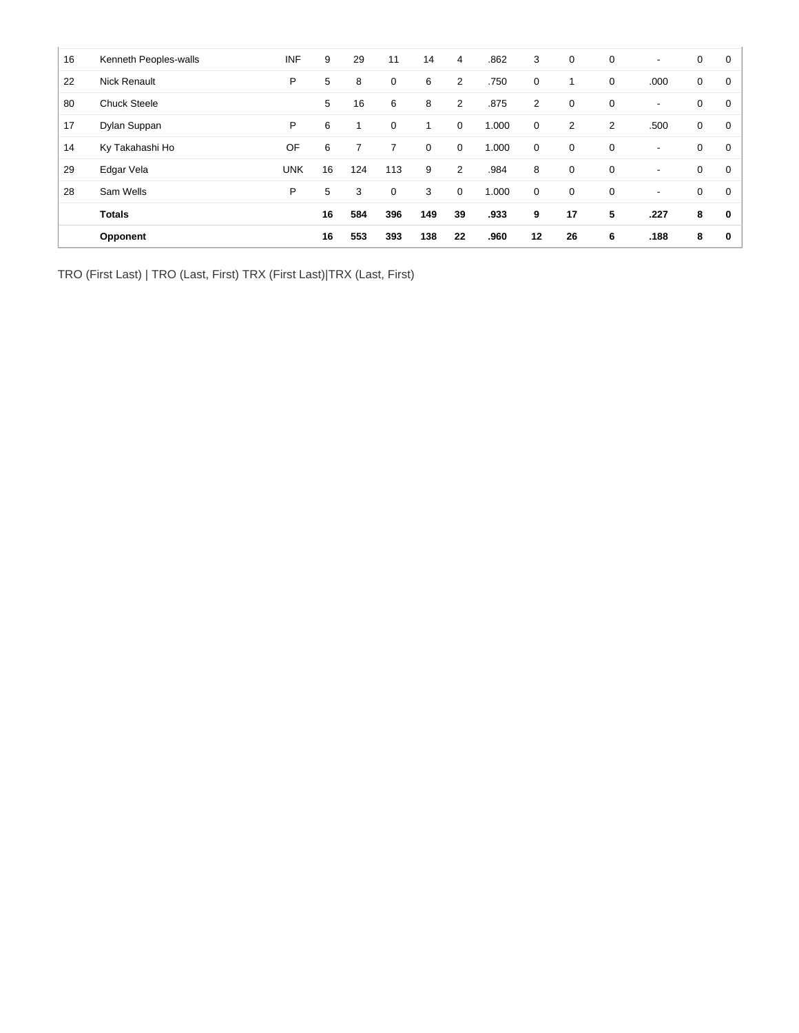| 16 | Kenneth Peoples-walls | <b>INF</b> | 9  | 29  | 11  | 14  | $\overline{4}$ | .862  | 3              | 0              | $\mathbf 0$    | $\overline{\phantom{a}}$ | 0 | 0 |
|----|-----------------------|------------|----|-----|-----|-----|----------------|-------|----------------|----------------|----------------|--------------------------|---|---|
| 22 | <b>Nick Renault</b>   | P          | 5  | 8   | 0   | 6   | $\overline{2}$ | .750  | 0              |                | 0              | .000                     | 0 | 0 |
| 80 | <b>Chuck Steele</b>   |            | 5  | 16  | 6   | 8   | $\overline{2}$ | .875  | $\overline{2}$ | $\mathbf 0$    | 0              | $\overline{\phantom{a}}$ | 0 | 0 |
| 17 | Dylan Suppan          | P          | 6  | 1   | 0   | и   | 0              | 1.000 | $\mathbf 0$    | $\overline{2}$ | $\overline{2}$ | .500                     | 0 | 0 |
| 14 | Ky Takahashi Ho       | OF         | 6  |     | 7   | 0   | $\mathbf 0$    | 1.000 | $\mathbf 0$    | $\mathbf 0$    | 0              | $\blacksquare$           | 0 | 0 |
| 29 | Edgar Vela            | <b>UNK</b> | 16 | 124 | 113 | 9   | $\overline{2}$ | .984  | 8              | $\mathbf 0$    | $\mathbf 0$    | $\blacksquare$           | 0 | 0 |
| 28 | Sam Wells             | P          | 5  | 3   | 0   | 3   | 0              | 1.000 | $\mathbf 0$    | 0              | 0              | $\blacksquare$           | 0 | 0 |
|    | <b>Totals</b>         |            | 16 | 584 | 396 | 149 | 39             | .933  | 9              | 17             | 5              | .227                     | 8 | 0 |
|    | Opponent              |            | 16 | 553 | 393 | 138 | 22             | .960  | 12             | 26             | 6              | .188                     | 8 | 0 |

TRO (First Last) | TRO (Last, First) TRX (First Last)|TRX (Last, First)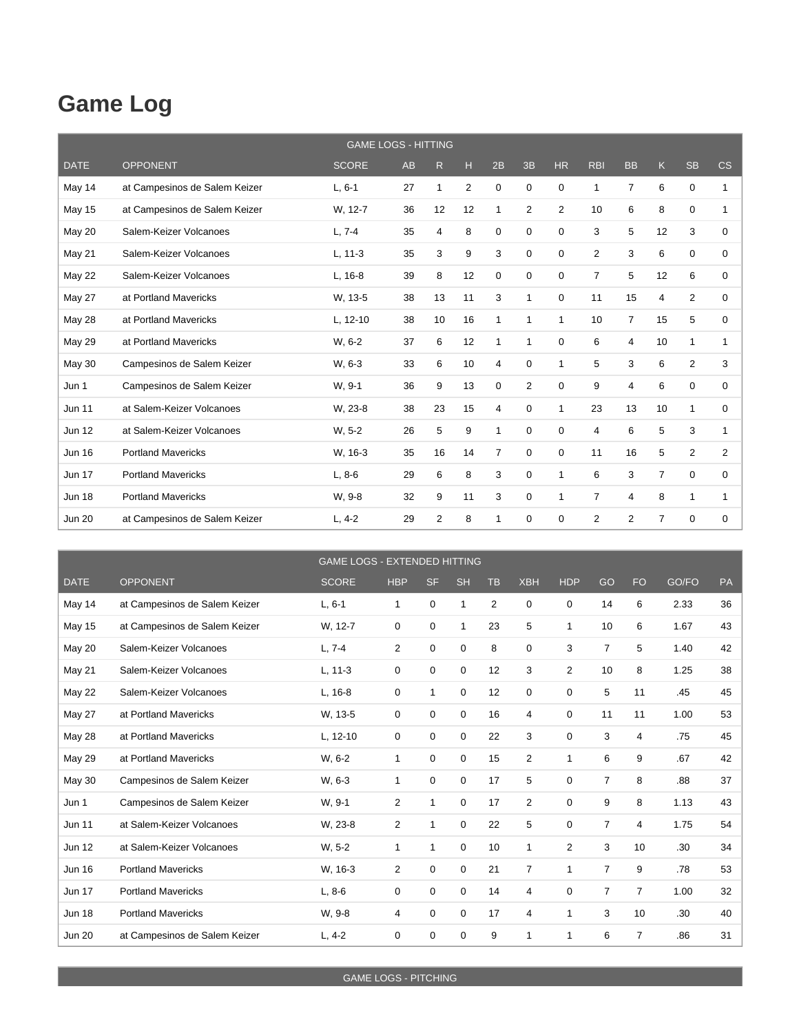## **Game Log**

|               |                               | <b>GAME LOGS - HITTING</b> |    |    |                |                |              |             |                |                |                |              |             |
|---------------|-------------------------------|----------------------------|----|----|----------------|----------------|--------------|-------------|----------------|----------------|----------------|--------------|-------------|
| <b>DATE</b>   | <b>OPPONENT</b>               | <b>SCORE</b>               | AB | R  | н              | 2B             | 3B           | <b>HR</b>   | <b>RBI</b>     | <b>BB</b>      | K              | <b>SB</b>    | CS          |
| May 14        | at Campesinos de Salem Keizer | $L, 6-1$                   | 27 | 1  | $\overline{2}$ | 0              | 0            | 0           | 1              | $\overline{7}$ | 6              | $\mathbf 0$  | 1           |
| May 15        | at Campesinos de Salem Keizer | W. 12-7                    | 36 | 12 | 12             | $\mathbf{1}$   | 2            | 2           | 10             | 6              | 8              | 0            | 1           |
| <b>May 20</b> | Salem-Keizer Volcanoes        | $L, 7-4$                   | 35 | 4  | 8              | 0              | 0            | $\Omega$    | 3              | 5              | 12             | 3            | $\mathbf 0$ |
| May 21        | Salem-Keizer Volcanoes        | $L, 11-3$                  | 35 | 3  | 9              | 3              | $\mathbf 0$  | $\Omega$    | $\overline{2}$ | 3              | 6              | $\mathbf 0$  | $\mathbf 0$ |
| May 22        | Salem-Keizer Volcanoes        | L, 16-8                    | 39 | 8  | 12             | 0              | 0            | 0           | 7              | 5              | 12             | 6            | 0           |
| <b>May 27</b> | at Portland Mavericks         | W, 13-5                    | 38 | 13 | 11             | 3              | $\mathbf{1}$ | 0           | 11             | 15             | 4              | 2            | 0           |
| <b>May 28</b> | at Portland Mavericks         | L, 12-10                   | 38 | 10 | 16             | 1              | 1            | 1           | 10             | $\overline{7}$ | 15             | 5            | 0           |
| <b>May 29</b> | at Portland Mavericks         | W. 6-2                     | 37 | 6  | 12             | 1              | 1            | 0           | 6              | 4              | 10             | 1            | 1           |
| <b>May 30</b> | Campesinos de Salem Keizer    | W, 6-3                     | 33 | 6  | 10             | 4              | 0            | 1           | 5              | 3              | 6              | 2            | 3           |
| Jun 1         | Campesinos de Salem Keizer    | W, 9-1                     | 36 | 9  | 13             | 0              | 2            | 0           | 9              | 4              | 6              | 0            | $\mathbf 0$ |
| <b>Jun 11</b> | at Salem-Keizer Volcanoes     | W. 23-8                    | 38 | 23 | 15             | 4              | 0            | 1           | 23             | 13             | 10             | $\mathbf{1}$ | 0           |
| <b>Jun 12</b> | at Salem-Keizer Volcanoes     | $W, 5-2$                   | 26 | 5  | 9              | $\mathbf{1}$   | $\mathbf 0$  | $\mathbf 0$ | 4              | 6              | 5              | 3            | 1           |
| <b>Jun 16</b> | <b>Portland Mavericks</b>     | W, 16-3                    | 35 | 16 | 14             | $\overline{7}$ | 0            | 0           | 11             | 16             | 5              | 2            | 2           |
| <b>Jun 17</b> | <b>Portland Mavericks</b>     | $L, 8-6$                   | 29 | 6  | 8              | 3              | $\mathbf 0$  | 1           | 6              | 3              | $\overline{7}$ | 0            | $\mathbf 0$ |
| <b>Jun 18</b> | <b>Portland Mavericks</b>     | W. 9-8                     | 32 | 9  | 11             | 3              | $\Omega$     | 1           | $\overline{7}$ | $\overline{4}$ | 8              | $\mathbf{1}$ | 1           |
| <b>Jun 20</b> | at Campesinos de Salem Keizer | $L, 4-2$                   | 29 | 2  | 8              | 1              | 0            | 0           | 2              | $\overline{2}$ | $\overline{7}$ | 0            | 0           |

|               |                               | <b>GAME LOGS - EXTENDED HITTING</b> |                |           |              |                |                |                |                |                |       |    |
|---------------|-------------------------------|-------------------------------------|----------------|-----------|--------------|----------------|----------------|----------------|----------------|----------------|-------|----|
| <b>DATE</b>   | <b>OPPONENT</b>               | <b>SCORE</b>                        | <b>HBP</b>     | <b>SF</b> | <b>SH</b>    | <b>TB</b>      | <b>XBH</b>     | <b>HDP</b>     | GO             | <b>FO</b>      | GO/FO | PA |
| May 14        | at Campesinos de Salem Keizer | $L, 6-1$                            | 1              | 0         | $\mathbf{1}$ | $\overline{2}$ | $\mathbf 0$    | 0              | 14             | 6              | 2.33  | 36 |
| <b>May 15</b> | at Campesinos de Salem Keizer | W, 12-7                             | 0              | 0         | 1            | 23             | 5              | 1              | 10             | 6              | 1.67  | 43 |
| <b>May 20</b> | Salem-Keizer Volcanoes        | $L, 7-4$                            | $\overline{2}$ | 0         | $\mathbf 0$  | 8              | $\mathbf 0$    | 3              | $\overline{7}$ | 5              | 1.40  | 42 |
| May 21        | Salem-Keizer Volcanoes        | $L, 11-3$                           | 0              | 0         | $\mathbf 0$  | 12             | 3              | $\overline{2}$ | 10             | 8              | 1.25  | 38 |
| May 22        | Salem-Keizer Volcanoes        | $L, 16-8$                           | 0              | 1         | $\mathbf 0$  | 12             | 0              | 0              | 5              | 11             | .45   | 45 |
| May 27        | at Portland Mavericks         | W, 13-5                             | 0              | 0         | 0            | 16             | $\overline{4}$ | 0              | 11             | 11             | 1.00  | 53 |
| <b>May 28</b> | at Portland Mavericks         | L, 12-10                            | 0              | 0         | 0            | 22             | 3              | 0              | 3              | 4              | .75   | 45 |
| <b>May 29</b> | at Portland Mavericks         | W. 6-2                              | 1              | 0         | 0            | 15             | 2              | $\mathbf{1}$   | 6              | 9              | .67   | 42 |
| <b>May 30</b> | Campesinos de Salem Keizer    | W, 6-3                              | 1              | 0         | $\mathbf 0$  | 17             | 5              | $\mathbf 0$    | $\overline{7}$ | 8              | .88   | 37 |
| Jun 1         | Campesinos de Salem Keizer    | W, 9-1                              | 2              | 1         | $\mathbf 0$  | 17             | $\overline{2}$ | 0              | 9              | 8              | 1.13  | 43 |
| <b>Jun 11</b> | at Salem-Keizer Volcanoes     | W, 23-8                             | 2              | 1         | $\mathbf 0$  | 22             | 5              | 0              | $\overline{7}$ | 4              | 1.75  | 54 |
| <b>Jun 12</b> | at Salem-Keizer Volcanoes     | $W, 5-2$                            | 1              | 1         | 0            | 10             | $\mathbf{1}$   | 2              | 3              | 10             | .30   | 34 |
| <b>Jun 16</b> | <b>Portland Mavericks</b>     | W, 16-3                             | 2              | 0         | 0            | 21             | 7              | 1              | $\overline{7}$ | 9              | .78   | 53 |
| <b>Jun 17</b> | <b>Portland Mavericks</b>     | $L, 8-6$                            | $\Omega$       | 0         | $\mathbf 0$  | 14             | 4              | 0              | $\overline{7}$ | $\overline{7}$ | 1.00  | 32 |
| <b>Jun 18</b> | <b>Portland Mavericks</b>     | W. 9-8                              | 4              | 0         | 0            | 17             | $\overline{4}$ | 1              | 3              | 10             | .30   | 40 |
| <b>Jun 20</b> | at Campesinos de Salem Keizer | $L, 4-2$                            | 0              | 0         | $\mathbf 0$  | 9              | 1              | $\mathbf{1}$   | 6              | 7              | .86   | 31 |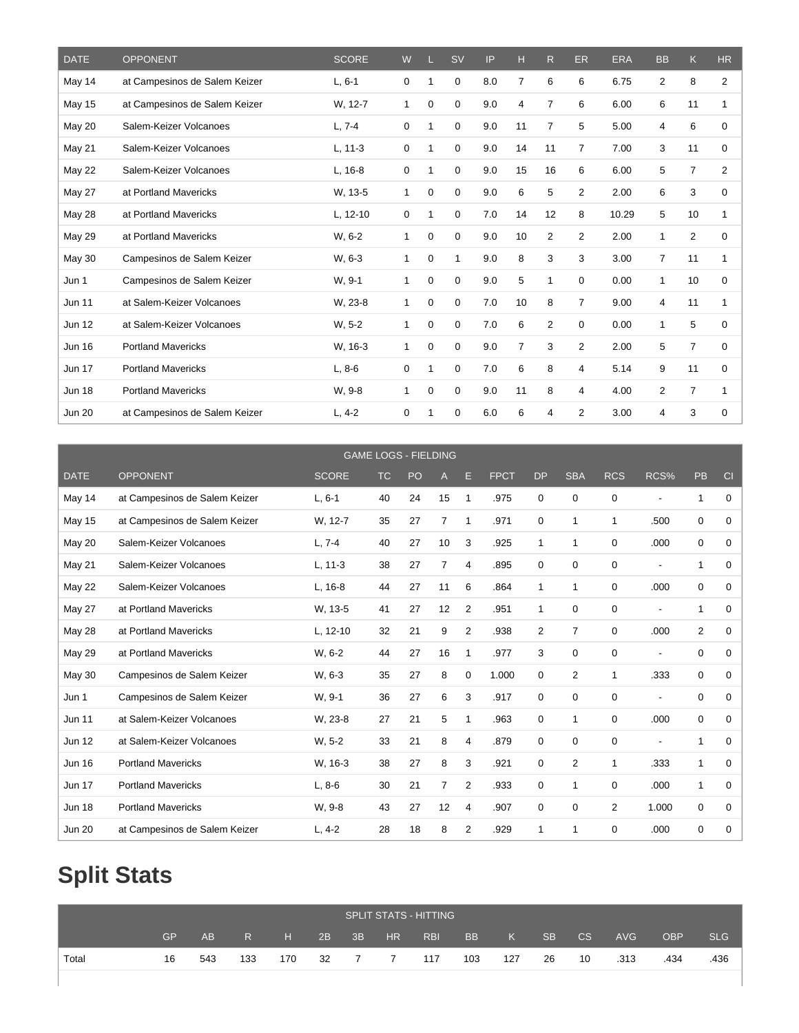| <b>DATE</b>   | <b>OPPONENT</b>               | <b>SCORE</b> | W           |              | <b>SV</b>   | IP  | н              | R              | <b>ER</b>      | <b>ERA</b> | <b>BB</b>      | K              | <b>HR</b>      |
|---------------|-------------------------------|--------------|-------------|--------------|-------------|-----|----------------|----------------|----------------|------------|----------------|----------------|----------------|
| May 14        | at Campesinos de Salem Keizer | $L, 6-1$     | 0           | $\mathbf{1}$ | 0           | 8.0 | 7              | 6              | 6              | 6.75       | $\overline{2}$ | 8              | 2              |
| <b>May 15</b> | at Campesinos de Salem Keizer | W, 12-7      | 1           | 0            | 0           | 9.0 | 4              | $\overline{7}$ | 6              | 6.00       | 6              | 11             | 1              |
| May 20        | Salem-Keizer Volcanoes        | $L, 7-4$     | 0           | 1            | 0           | 9.0 | 11             | $\overline{7}$ | 5              | 5.00       | 4              | 6              | 0              |
| May 21        | Salem-Keizer Volcanoes        | $L, 11-3$    | 0           | $\mathbf{1}$ | 0           | 9.0 | 14             | 11             | 7              | 7.00       | 3              | 11             | 0              |
| May 22        | Salem-Keizer Volcanoes        | $L, 16-8$    | 0           | -1           | 0           | 9.0 | 15             | 16             | 6              | 6.00       | 5              | $\overline{7}$ | $\overline{2}$ |
| <b>May 27</b> | at Portland Mavericks         | W, 13-5      | 1           | 0            | 0           | 9.0 | 6              | 5              | 2              | 2.00       | 6              | 3              | 0              |
| May 28        | at Portland Mavericks         | L, 12-10     | 0           | $\mathbf{1}$ | 0           | 7.0 | 14             | 12             | 8              | 10.29      | 5              | 10             | 1              |
| <b>May 29</b> | at Portland Mavericks         | W. 6-2       | 1           | 0            | 0           | 9.0 | 10             | $\overline{2}$ | 2              | 2.00       | 1              | 2              | $\Omega$       |
| May 30        | Campesinos de Salem Keizer    | W, 6-3       | $\mathbf 1$ | 0            | 1           | 9.0 | 8              | 3              | 3              | 3.00       | $\overline{7}$ | 11             | 1              |
| Jun 1         | Campesinos de Salem Keizer    | W, 9-1       | 1           | 0            | $\mathbf 0$ | 9.0 | 5              | $\mathbf{1}$   | 0              | 0.00       | $\mathbf{1}$   | 10             | 0              |
| <b>Jun 11</b> | at Salem-Keizer Volcanoes     | W, 23-8      | 1           | 0            | 0           | 7.0 | 10             | 8              | 7              | 9.00       | 4              | 11             | 1              |
| <b>Jun 12</b> | at Salem-Keizer Volcanoes     | $W, 5-2$     | 1           | 0            | 0           | 7.0 | 6              | $\overline{2}$ | 0              | 0.00       | 1              | 5              | 0              |
| <b>Jun 16</b> | <b>Portland Mavericks</b>     | W, 16-3      | 1           | 0            | 0           | 9.0 | $\overline{7}$ | 3              | $\overline{2}$ | 2.00       | 5              | $\overline{7}$ | $\Omega$       |
| <b>Jun 17</b> | <b>Portland Mavericks</b>     | $L, 8-6$     | 0           | -1           | 0           | 7.0 | 6              | 8              | 4              | 5.14       | 9              | 11             | 0              |
| <b>Jun 18</b> | <b>Portland Mavericks</b>     | W, 9-8       | 1           | 0            | 0           | 9.0 | 11             | 8              | 4              | 4.00       | $\overline{2}$ | $\overline{7}$ | 1              |
| <b>Jun 20</b> | at Campesinos de Salem Keizer | $L, 4-2$     | 0           | 1            | 0           | 6.0 | 6              | 4              | 2              | 3.00       | 4              | 3              | 0              |

|               |                               |              |           | <b>GAME LOGS - FIELDING</b> |    |                |             |              |                |                |                          |             |             |
|---------------|-------------------------------|--------------|-----------|-----------------------------|----|----------------|-------------|--------------|----------------|----------------|--------------------------|-------------|-------------|
| <b>DATE</b>   | <b>OPPONENT</b>               | <b>SCORE</b> | <b>TC</b> | PO                          | Α  | Е              | <b>FPCT</b> | <b>DP</b>    | <b>SBA</b>     | <b>RCS</b>     | RCS%                     | PB          | CI          |
| May 14        | at Campesinos de Salem Keizer | $L.6-1$      | 40        | 24                          | 15 | 1              | .975        | 0            | 0              | 0              |                          | 1           | 0           |
| May 15        | at Campesinos de Salem Keizer | W. 12-7      | 35        | 27                          | 7  | 1              | .971        | 0            | 1              | 1              | .500                     | 0           | $\mathbf 0$ |
| <b>May 20</b> | Salem-Keizer Volcanoes        | $L.7 - 4$    | 40        | 27                          | 10 | 3              | .925        | 1            | 1              | 0              | .000                     | 0           | 0           |
| May 21        | Salem-Keizer Volcanoes        | $L, 11-3$    | 38        | 27                          | 7  | 4              | .895        | 0            | 0              | 0              |                          | 1           | $\mathbf 0$ |
| May 22        | Salem-Keizer Volcanoes        | L, 16-8      | 44        | 27                          | 11 | 6              | .864        | $\mathbf{1}$ | $\mathbf{1}$   | $\Omega$       | .000                     | 0           | $\mathbf 0$ |
| <b>May 27</b> | at Portland Mavericks         | W. 13-5      | 41        | 27                          | 12 | $\overline{2}$ | .951        | 1            | 0              | 0              | $\overline{\phantom{0}}$ | 1           | 0           |
| <b>May 28</b> | at Portland Mavericks         | L, 12-10     | 32        | 21                          | 9  | $\overline{2}$ | .938        | 2            | $\overline{7}$ | 0              | .000                     | 2           | 0           |
| <b>May 29</b> | at Portland Mavericks         | W. 6-2       | 44        | 27                          | 16 | 1              | .977        | 3            | 0              | 0              | $\overline{\phantom{0}}$ | 0           | $\mathbf 0$ |
| <b>May 30</b> | Campesinos de Salem Keizer    | W. 6-3       | 35        | 27                          | 8  | 0              | 1.000       | 0            | $\overline{2}$ | $\mathbf{1}$   | .333                     | $\mathbf 0$ | 0           |
| Jun 1         | Campesinos de Salem Keizer    | W. 9-1       | 36        | 27                          | 6  | 3              | .917        | 0            | $\mathbf 0$    | $\mathbf 0$    | $\overline{a}$           | $\mathbf 0$ | 0           |
| <b>Jun 11</b> | at Salem-Keizer Volcanoes     | W. 23-8      | 27        | 21                          | 5  | 1              | .963        | 0            | $\mathbf{1}$   | 0              | .000                     | 0           | $\mathbf 0$ |
| <b>Jun 12</b> | at Salem-Keizer Volcanoes     | W. 5-2       | 33        | 21                          | 8  | 4              | .879        | $\mathbf 0$  | $\Omega$       | $\mathbf 0$    | $\overline{\phantom{0}}$ | 1           | 0           |
| <b>Jun 16</b> | <b>Portland Mavericks</b>     | W, 16-3      | 38        | 27                          | 8  | 3              | .921        | 0            | 2              | $\mathbf 1$    | .333                     | 1           | 0           |
| <b>Jun 17</b> | <b>Portland Mavericks</b>     | $L.8-6$      | 30        | 21                          | 7  | $\overline{2}$ | .933        | 0            | $\mathbf{1}$   | 0              | .000                     | 1           | 0           |
| <b>Jun 18</b> | <b>Portland Mavericks</b>     | W. 9-8       | 43        | 27                          | 12 | 4              | .907        | 0            | $\mathbf 0$    | $\overline{2}$ | 1.000                    | 0           | $\Omega$    |
| <b>Jun 20</b> | at Campesinos de Salem Keizer | $L, 4-2$     | 28        | 18                          | 8  | $\overline{2}$ | .929        | $\mathbf{1}$ | 1              | $\Omega$       | .000                     | 0           | $\mathbf 0$ |

# **Split Stats**

|       |    |     |     |     |           |     |    | <b>SPLIT STATS - HITTING</b> |           |     |           |    |            |            |            |
|-------|----|-----|-----|-----|-----------|-----|----|------------------------------|-----------|-----|-----------|----|------------|------------|------------|
|       | GP | AB  | R   | H   | $2B$ $3B$ |     | HR | RBI                          | <b>BB</b> | K   | <b>SB</b> | CS | <b>AVG</b> | <b>OBP</b> | <b>SLG</b> |
| Total | 16 | 543 | 133 | 170 | - 32      | 7 7 |    | 117                          | 103       | 127 | -26       | 10 | .313       | .434       | .436       |
|       |    |     |     |     |           |     |    |                              |           |     |           |    |            |            |            |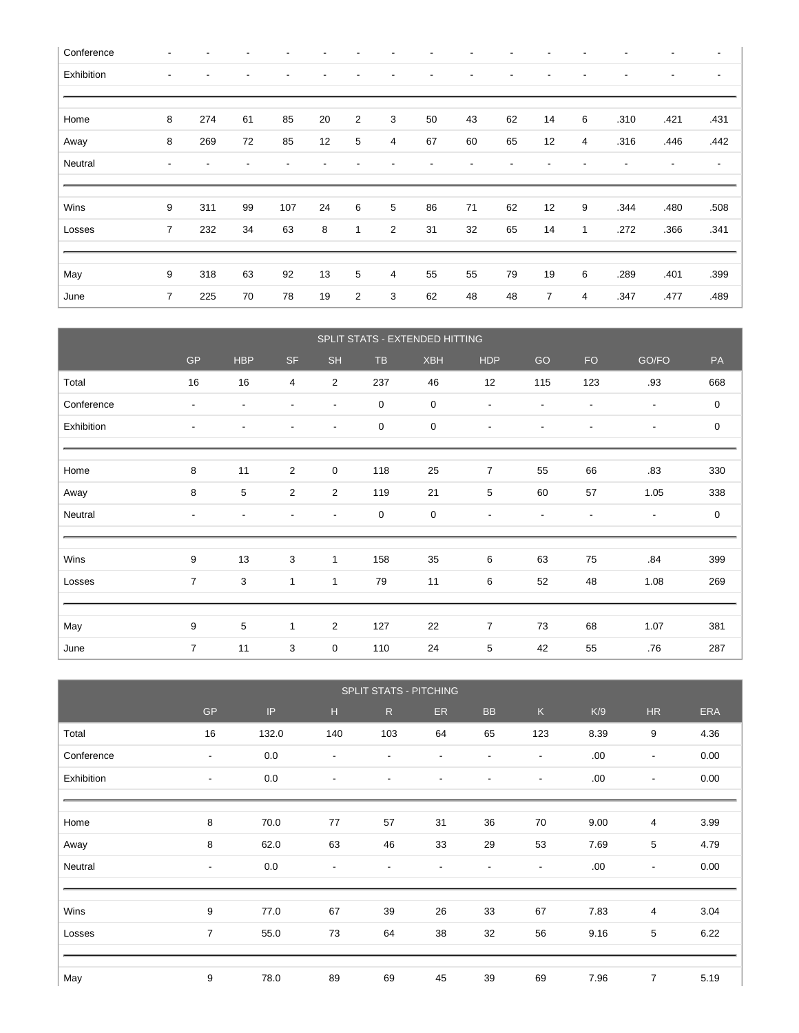| Conference |                |     |    |     |    |                |                |    |    |    |    |   |      | $\overline{\phantom{a}}$ | $\overline{\phantom{a}}$ |
|------------|----------------|-----|----|-----|----|----------------|----------------|----|----|----|----|---|------|--------------------------|--------------------------|
| Exhibition |                |     |    |     |    |                |                |    |    | ٠  |    | ٠ |      | $\overline{\phantom{a}}$ | $\overline{\phantom{a}}$ |
|            |                |     |    |     |    |                |                |    |    |    |    |   |      |                          |                          |
| Home       | 8              | 274 | 61 | 85  | 20 | $\overline{2}$ | 3              | 50 | 43 | 62 | 14 | 6 | .310 | .421                     | .431                     |
| Away       | 8              | 269 | 72 | 85  | 12 | 5              | $\overline{4}$ | 67 | 60 | 65 | 12 | 4 | .316 | .446                     | .442                     |
| Neutral    |                |     |    |     |    |                |                |    |    | -  |    |   |      | $\overline{\phantom{a}}$ | $\overline{\phantom{a}}$ |
|            |                |     |    |     |    |                |                |    |    |    |    |   |      |                          |                          |
| Wins       | 9              | 311 | 99 | 107 | 24 | 6              | 5              | 86 | 71 | 62 | 12 | 9 | .344 | .480                     | .508                     |
| Losses     | $\overline{7}$ | 232 | 34 | 63  | 8  | $\mathbf{1}$   | $\overline{2}$ | 31 | 32 | 65 | 14 | 1 | .272 | .366                     | .341                     |
|            |                |     |    |     |    |                |                |    |    |    |    |   |      |                          |                          |
|            |                |     |    |     |    |                |                |    |    |    |    |   |      |                          |                          |
| May        | 9              | 318 | 63 | 92  | 13 | 5              | 4              | 55 | 55 | 79 | 19 | 6 | .289 | .401                     | .399                     |

|            |                          |                          |                |                          |             | SPLIT STATS - EXTENDED HITTING |                          |                          |                          |                          |                  |
|------------|--------------------------|--------------------------|----------------|--------------------------|-------------|--------------------------------|--------------------------|--------------------------|--------------------------|--------------------------|------------------|
|            | <b>GP</b>                | <b>HBP</b>               | <b>SF</b>      | <b>SH</b>                | <b>TB</b>   | <b>XBH</b>                     | <b>HDP</b>               | GO                       | <b>FO</b>                | GO/FO                    | PA               |
| Total      | 16                       | 16                       | $\overline{4}$ | $\overline{2}$           | 237         | 46                             | 12                       | 115                      | 123                      | .93                      | 668              |
| Conference | $\overline{\phantom{a}}$ | $\overline{\phantom{a}}$ | $\blacksquare$ | $\blacksquare$           | $\mathbf 0$ | 0                              | $\blacksquare$           | $\blacksquare$           | $\overline{a}$           | $\overline{\phantom{a}}$ | $\boldsymbol{0}$ |
| Exhibition | $\blacksquare$           | $\blacksquare$           |                | $\overline{\phantom{a}}$ | 0           | 0                              | $\overline{\phantom{a}}$ | ۰                        | ٠                        | $\overline{\phantom{a}}$ | 0                |
|            |                          |                          |                |                          |             |                                |                          |                          |                          |                          |                  |
| Home       | 8                        | 11                       | $\overline{2}$ | $\mathsf 0$              | 118         | 25                             | $\overline{7}$           | 55                       | 66                       | .83                      | 330              |
| Away       | 8                        | 5                        | 2              | $\overline{2}$           | 119         | 21                             | 5                        | 60                       | 57                       | 1.05                     | 338              |
| Neutral    | $\overline{\phantom{a}}$ | $\overline{\phantom{a}}$ |                | $\blacksquare$           | $\mathbf 0$ | $\boldsymbol{0}$               | $\overline{\phantom{a}}$ | $\overline{\phantom{a}}$ | $\overline{\phantom{a}}$ | $\overline{\phantom{a}}$ | $\boldsymbol{0}$ |
|            |                          |                          |                |                          |             |                                |                          |                          |                          |                          |                  |
| Wins       | 9                        | 13                       | $\mathbf{3}$   | $\mathbf{1}$             | 158         | 35                             | 6                        | 63                       | 75                       | .84                      | 399              |
| Losses     | $\overline{7}$           | 3                        | $\mathbf{1}$   | 1                        | 79          | 11                             | 6                        | 52                       | 48                       | 1.08                     | 269              |
|            |                          |                          |                |                          |             |                                |                          |                          |                          |                          |                  |
| May        | 9                        | 5                        | $\mathbf{1}$   | $\overline{2}$           | 127         | 22                             | $\overline{7}$           | 73                       | 68                       | 1.07                     | 381              |
| June       | $\overline{7}$           | 11                       | 3              | $\pmb{0}$                | 110         | 24                             | 5                        | 42                       | 55                       | .76                      | 287              |

|            |                          |       |                          | SPLIT STATS - PITCHING   |                          |                          |                          |      |                          |            |
|------------|--------------------------|-------|--------------------------|--------------------------|--------------------------|--------------------------|--------------------------|------|--------------------------|------------|
|            | <b>GP</b>                | IP    | H                        | R                        | ER                       | <b>BB</b>                | K                        | K/9  | <b>HR</b>                | <b>ERA</b> |
| Total      | 16                       | 132.0 | 140                      | 103                      | 64                       | 65                       | 123                      | 8.39 | 9                        | 4.36       |
| Conference | $\overline{\phantom{a}}$ | 0.0   | $\overline{\phantom{a}}$ | $\overline{\phantom{a}}$ | $\overline{\phantom{a}}$ | $\overline{\phantom{a}}$ | $\overline{\phantom{a}}$ | .00  | $\overline{\phantom{a}}$ | 0.00       |
| Exhibition | $\overline{\phantom{a}}$ | 0.0   | $\overline{\phantom{a}}$ | $\overline{\phantom{a}}$ | $\overline{\phantom{a}}$ | $\overline{\phantom{a}}$ | $\overline{\phantom{a}}$ | .00  | $\overline{\phantom{a}}$ | 0.00       |
|            |                          |       |                          |                          |                          |                          |                          |      |                          |            |
| Home       | 8                        | 70.0  | 77                       | 57                       | 31                       | 36                       | 70                       | 9.00 | 4                        | 3.99       |
| Away       | 8                        | 62.0  | 63                       | 46                       | 33                       | 29                       | 53                       | 7.69 | 5                        | 4.79       |
| Neutral    | $\overline{\phantom{a}}$ | 0.0   | $\overline{\phantom{a}}$ | $\overline{\phantom{a}}$ |                          | $\overline{\phantom{a}}$ | $\overline{\phantom{a}}$ | .00. | $\overline{\phantom{a}}$ | 0.00       |
|            |                          |       |                          |                          |                          |                          |                          |      |                          |            |
| Wins       | 9                        | 77.0  | 67                       | 39                       | 26                       | 33                       | 67                       | 7.83 | 4                        | 3.04       |
| Losses     | $\overline{7}$           | 55.0  | 73                       | 64                       | 38                       | 32                       | 56                       | 9.16 | 5                        | 6.22       |
|            |                          |       |                          |                          |                          |                          |                          |      |                          |            |
| May        | 9                        | 78.0  | 89                       | 69                       | 45                       | 39                       | 69                       | 7.96 | $\overline{7}$           | 5.19       |